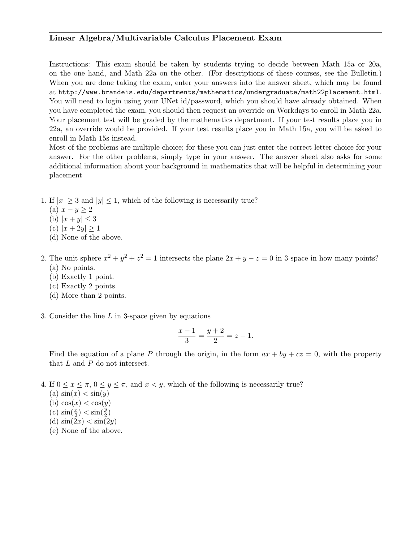## Linear Algebra/Multivariable Calculus Placement Exam

Instructions: This exam should be taken by students trying to decide between Math 15a or 20a, on the one hand, and Math 22a on the other. (For descriptions of these courses, see the Bulletin.) When you are done taking the exam, enter your answers into the answer sheet, which may be found at http://www.brandeis.edu/departments/mathematics/undergraduate/math22placement.html. You will need to login using your UNet id/password, which you should have already obtained. When you have completed the exam, you should then request an override on Workdays to enroll in Math 22a. Your placement test will be graded by the mathematics department. If your test results place you in 22a, an override would be provided. If your test results place you in Math 15a, you will be asked to enroll in Math 15s instead.

Most of the problems are multiple choice; for these you can just enter the correct letter choice for your answer. For the other problems, simply type in your answer. The answer sheet also asks for some additional information about your background in mathematics that will be helpful in determining your placement

- 1. If  $|x| > 3$  and  $|y| < 1$ , which of the following is necessarily true?
	- (a)  $x y \geq 2$
	- (b)  $|x + y| \le 3$
	- (c)  $|x+2y| \ge 1$
	- (d) None of the above.
- 2. The unit sphere  $x^2 + y^2 + z^2 = 1$  intersects the plane  $2x + y z = 0$  in 3-space in how many points? (a) No points.
	- (b) Exactly 1 point.
	- (c) Exactly 2 points.
	- (d) More than 2 points.
- 3. Consider the line  $L$  in 3-space given by equations

$$
\frac{x-1}{3} = \frac{y+2}{2} = z - 1.
$$

Find the equation of a plane P through the origin, in the form  $ax + by + cz = 0$ , with the property that L and P do not intersect.

- 4. If  $0 \leq x \leq \pi$ ,  $0 \leq y \leq \pi$ , and  $x < y$ , which of the following is necessarily true?
	- (a)  $\sin(x) < \sin(y)$ (b)  $cos(x) < cos(y)$ (c)  $\sin(\frac{x}{2}) < \sin(\frac{y}{2})$ (d)  $\sin(2x) < \sin(2y)$
	- (e) None of the above.